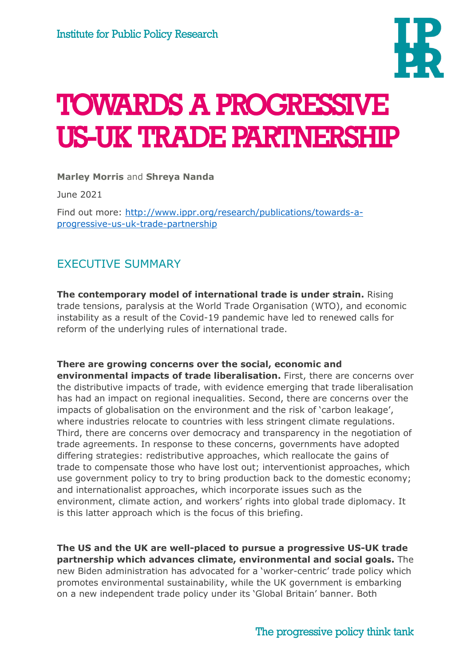

# TOWARDS A PROGRESSIVE US-UK TRADE PARTNERSHIP

**Marley Morris** and **Shreya Nanda**

June 2021

Find out more: [http://www.ippr.org/research/publications/towards-a](http://www.ippr.org/research/publications/towards-a-progressive-us-uk-trade-partnership)[progressive-us-uk-trade-partnership](http://www.ippr.org/research/publications/towards-a-progressive-us-uk-trade-partnership)

# EXECUTIVE SUMMARY

**The contemporary model of international trade is under strain.** Rising trade tensions, paralysis at the World Trade Organisation (WTO), and economic instability as a result of the Covid-19 pandemic have led to renewed calls for reform of the underlying rules of international trade.

#### **There are growing concerns over the social, economic and**

**environmental impacts of trade liberalisation.** First, there are concerns over the distributive impacts of trade, with evidence emerging that trade liberalisation has had an impact on regional inequalities. Second, there are concerns over the impacts of globalisation on the environment and the risk of 'carbon leakage', where industries relocate to countries with less stringent climate regulations. Third, there are concerns over democracy and transparency in the negotiation of trade agreements. In response to these concerns, governments have adopted differing strategies: redistributive approaches, which reallocate the gains of trade to compensate those who have lost out; interventionist approaches, which use government policy to try to bring production back to the domestic economy; and internationalist approaches, which incorporate issues such as the environment, climate action, and workers' rights into global trade diplomacy. It is this latter approach which is the focus of this briefing.

**The US and the UK are well-placed to pursue a progressive US-UK trade partnership which advances climate, environmental and social goals.** The new Biden administration has advocated for a 'worker-centric' trade policy which promotes environmental sustainability, while the UK government is embarking on a new independent trade policy under its 'Global Britain' banner. Both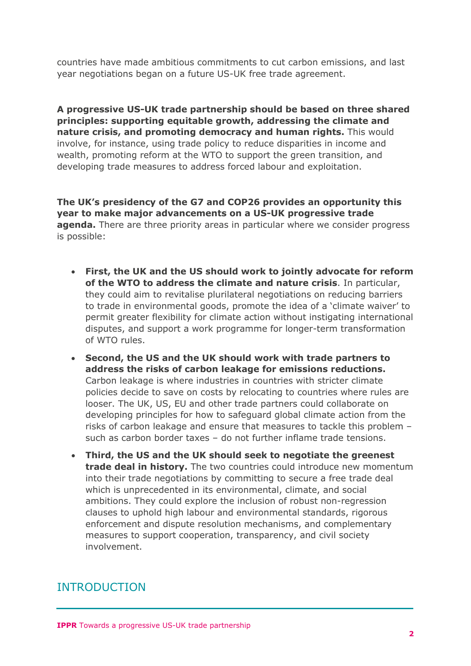countries have made ambitious commitments to cut carbon emissions, and last year negotiations began on a future US-UK free trade agreement.

**A progressive US-UK trade partnership should be based on three shared principles: supporting equitable growth, addressing the climate and nature crisis, and promoting democracy and human rights.** This would involve, for instance, using trade policy to reduce disparities in income and wealth, promoting reform at the WTO to support the green transition, and developing trade measures to address forced labour and exploitation.

**The UK's presidency of the G7 and COP26 provides an opportunity this year to make major advancements on a US-UK progressive trade agenda.** There are three priority areas in particular where we consider progress is possible:

- **First, the UK and the US should work to jointly advocate for reform of the WTO to address the climate and nature crisis**. In particular, they could aim to revitalise plurilateral negotiations on reducing barriers to trade in environmental goods, promote the idea of a 'climate waiver' to permit greater flexibility for climate action without instigating international disputes, and support a work programme for longer-term transformation of WTO rules.
- **Second, the US and the UK should work with trade partners to address the risks of carbon leakage for emissions reductions.** Carbon leakage is where industries in countries with stricter climate policies decide to save on costs by relocating to countries where rules are looser. The UK, US, EU and other trade partners could collaborate on developing principles for how to safeguard global climate action from the risks of carbon leakage and ensure that measures to tackle this problem – such as carbon border taxes – do not further inflame trade tensions.
- **Third, the US and the UK should seek to negotiate the greenest trade deal in history.** The two countries could introduce new momentum into their trade negotiations by committing to secure a free trade deal which is unprecedented in its environmental, climate, and social ambitions. They could explore the inclusion of robust non-regression clauses to uphold high labour and environmental standards, rigorous enforcement and dispute resolution mechanisms, and complementary measures to support cooperation, transparency, and civil society involvement.

## INTRODUCTION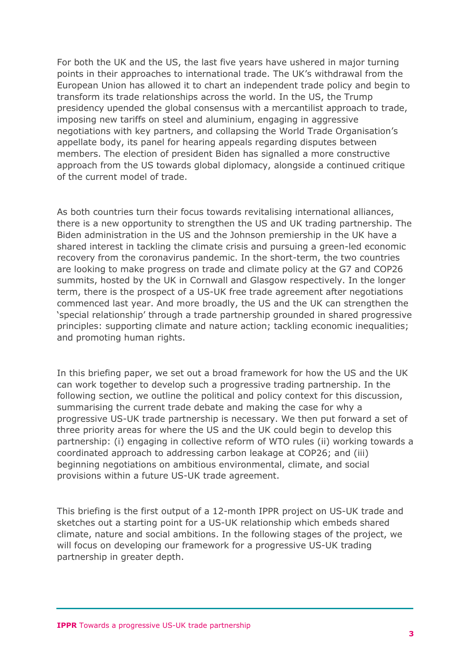For both the UK and the US, the last five years have ushered in major turning points in their approaches to international trade. The UK's withdrawal from the European Union has allowed it to chart an independent trade policy and begin to transform its trade relationships across the world. In the US, the Trump presidency upended the global consensus with a mercantilist approach to trade, imposing new tariffs on steel and aluminium, engaging in aggressive negotiations with key partners, and collapsing the World Trade Organisation's appellate body, its panel for hearing appeals regarding disputes between members. The election of president Biden has signalled a more constructive approach from the US towards global diplomacy, alongside a continued critique of the current model of trade.

As both countries turn their focus towards revitalising international alliances, there is a new opportunity to strengthen the US and UK trading partnership. The Biden administration in the US and the Johnson premiership in the UK have a shared interest in tackling the climate crisis and pursuing a green-led economic recovery from the coronavirus pandemic. In the short-term, the two countries are looking to make progress on trade and climate policy at the G7 and COP26 summits, hosted by the UK in Cornwall and Glasgow respectively. In the longer term, there is the prospect of a US-UK free trade agreement after negotiations commenced last year. And more broadly, the US and the UK can strengthen the 'special relationship' through a trade partnership grounded in shared progressive principles: supporting climate and nature action; tackling economic inequalities; and promoting human rights.

In this briefing paper, we set out a broad framework for how the US and the UK can work together to develop such a progressive trading partnership. In the following section, we outline the political and policy context for this discussion, summarising the current trade debate and making the case for why a progressive US-UK trade partnership is necessary. We then put forward a set of three priority areas for where the US and the UK could begin to develop this partnership: (i) engaging in collective reform of WTO rules (ii) working towards a coordinated approach to addressing carbon leakage at COP26; and (iii) beginning negotiations on ambitious environmental, climate, and social provisions within a future US-UK trade agreement.

This briefing is the first output of a 12-month IPPR project on US-UK trade and sketches out a starting point for a US-UK relationship which embeds shared climate, nature and social ambitions. In the following stages of the project, we will focus on developing our framework for a progressive US-UK trading partnership in greater depth.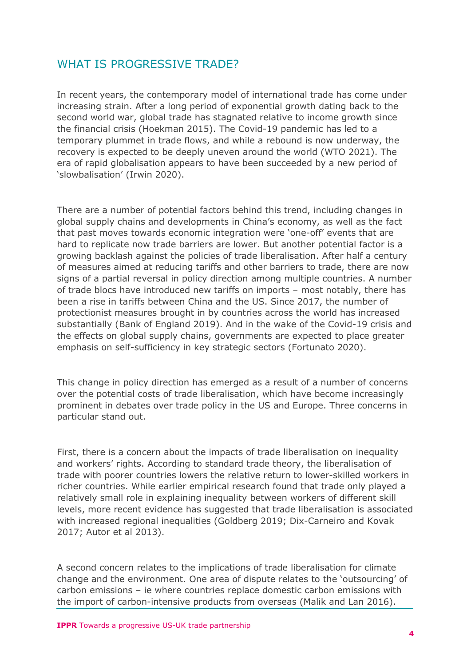## WHAT IS PROGRESSIVE TRADE?

In recent years, the contemporary model of international trade has come under increasing strain. After a long period of exponential growth dating back to the second world war, global trade has stagnated relative to income growth since the financial crisis (Hoekman 2015). The Covid-19 pandemic has led to a temporary plummet in trade flows, and while a rebound is now underway, the recovery is expected to be deeply uneven around the world (WTO 2021). The era of rapid globalisation appears to have been succeeded by a new period of 'slowbalisation' (Irwin 2020).

There are a number of potential factors behind this trend, including changes in global supply chains and developments in China's economy, as well as the fact that past moves towards economic integration were 'one-off' events that are hard to replicate now trade barriers are lower. But another potential factor is a growing backlash against the policies of trade liberalisation. After half a century of measures aimed at reducing tariffs and other barriers to trade, there are now signs of a partial reversal in policy direction among multiple countries. A number of trade blocs have introduced new tariffs on imports – most notably, there has been a rise in tariffs between China and the US. Since 2017, the number of protectionist measures brought in by countries across the world has increased substantially (Bank of England 2019). And in the wake of the Covid-19 crisis and the effects on global supply chains, governments are expected to place greater emphasis on self-sufficiency in key strategic sectors (Fortunato 2020).

This change in policy direction has emerged as a result of a number of concerns over the potential costs of trade liberalisation, which have become increasingly prominent in debates over trade policy in the US and Europe. Three concerns in particular stand out.

First, there is a concern about the impacts of trade liberalisation on inequality and workers' rights. According to standard trade theory, the liberalisation of trade with poorer countries lowers the relative return to lower-skilled workers in richer countries. While earlier empirical research found that trade only played a relatively small role in explaining inequality between workers of different skill levels, more recent evidence has suggested that trade liberalisation is associated with increased regional inequalities (Goldberg 2019; Dix-Carneiro and Kovak 2017; Autor et al 2013).

A second concern relates to the implications of trade liberalisation for climate change and the environment. One area of dispute relates to the 'outsourcing' of carbon emissions – ie where countries replace domestic carbon emissions with the import of carbon-intensive products from overseas (Malik and Lan 2016).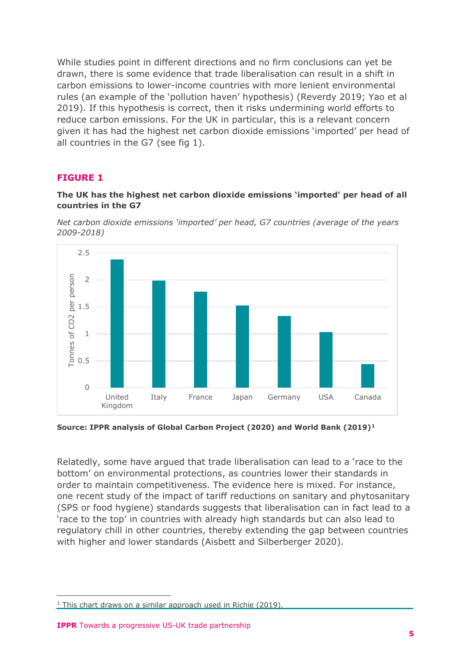While studies point in different directions and no firm conclusions can yet be drawn, there is some evidence that trade liberalisation can result in a shift in carbon emissions to lower-income countries with more lenient environmental rules (an example of the 'pollution haven' hypothesis) (Reverdy 2019; Yao et al 2019). If this hypothesis is correct, then it risks undermining world efforts to reduce carbon emissions. For the UK in particular, this is a relevant concern given it has had the highest net carbon dioxide emissions 'imported' per head of all countries in the G7 (see fig 1).

#### **FIGURE 1**

#### **The UK has the highest net carbon dioxide emissions 'imported' per head of all countries in the G7**





**Source: IPPR analysis of Global Carbon Project (2020) and World Bank (2019)[1](#page-4-0)**

Relatedly, some have argued that trade liberalisation can lead to a 'race to the bottom' on environmental protections, as countries lower their standards in order to maintain competitiveness. The evidence here is mixed. For instance, one recent study of the impact of tariff reductions on sanitary and phytosanitary (SPS or food hygiene) standards suggests that liberalisation can in fact lead to a 'race to the top' in countries with already high standards but can also lead to regulatory chill in other countries, thereby extending the gap between countries with higher and lower standards (Aisbett and Silberberger 2020).

<span id="page-4-0"></span> $1$  This chart draws on a similar approach used in Richie (2019).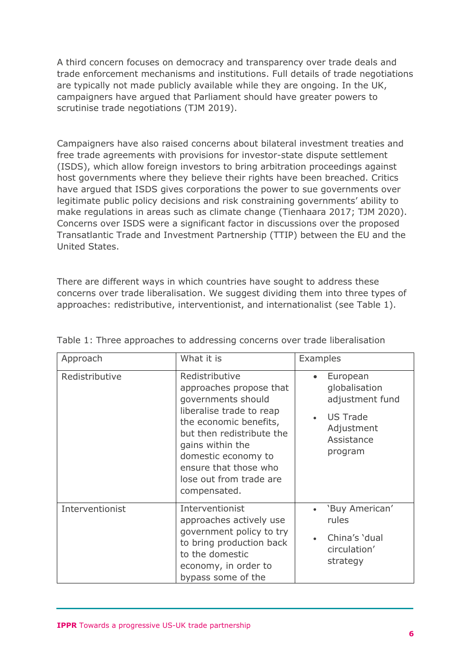A third concern focuses on democracy and transparency over trade deals and trade enforcement mechanisms and institutions. Full details of trade negotiations are typically not made publicly available while they are ongoing. In the UK, campaigners have argued that Parliament should have greater powers to scrutinise trade negotiations (TJM 2019).

Campaigners have also raised concerns about bilateral investment treaties and free trade agreements with provisions for investor-state dispute settlement (ISDS), which allow foreign investors to bring arbitration proceedings against host governments where they believe their rights have been breached. Critics have argued that ISDS gives corporations the power to sue governments over legitimate public policy decisions and risk constraining governments' ability to make regulations in areas such as climate change (Tienhaara 2017; TJM 2020). Concerns over ISDS were a significant factor in discussions over the proposed Transatlantic Trade and Investment Partnership (TTIP) between the EU and the United States.

There are different ways in which countries have sought to address these concerns over trade liberalisation. We suggest dividing them into three types of approaches: redistributive, interventionist, and internationalist (see Table 1).

| Approach        | What it is                                                                                                                                                                                                                                                        | Examples                                                                                               |
|-----------------|-------------------------------------------------------------------------------------------------------------------------------------------------------------------------------------------------------------------------------------------------------------------|--------------------------------------------------------------------------------------------------------|
| Redistributive  | Redistributive<br>approaches propose that<br>governments should<br>liberalise trade to reap<br>the economic benefits,<br>but then redistribute the<br>gains within the<br>domestic economy to<br>ensure that those who<br>lose out from trade are<br>compensated. | European<br>globalisation<br>adjustment fund<br><b>US Trade</b><br>Adjustment<br>Assistance<br>program |
| Interventionist | Interventionist<br>approaches actively use<br>government policy to try<br>to bring production back<br>to the domestic<br>economy, in order to<br>bypass some of the                                                                                               | 'Buy American'<br>rules<br>China's 'dual<br>circulation'<br>strategy                                   |

Table 1: Three approaches to addressing concerns over trade liberalisation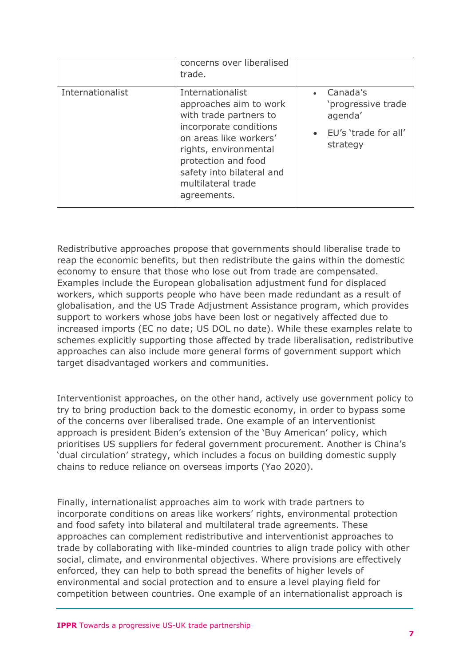|                  | concerns over liberalised<br>trade.                                                                                                                                                                                                        |                                                                               |
|------------------|--------------------------------------------------------------------------------------------------------------------------------------------------------------------------------------------------------------------------------------------|-------------------------------------------------------------------------------|
| Internationalist | Internationalist<br>approaches aim to work<br>with trade partners to<br>incorporate conditions<br>on areas like workers'<br>rights, environmental<br>protection and food<br>safety into bilateral and<br>multilateral trade<br>agreements. | Canada's<br>'progressive trade<br>agenda'<br>EU's 'trade for all'<br>strategy |

Redistributive approaches propose that governments should liberalise trade to reap the economic benefits, but then redistribute the gains within the domestic economy to ensure that those who lose out from trade are compensated. Examples include the European globalisation adjustment fund for displaced workers, which supports people who have been made redundant as a result of globalisation, and the US Trade Adjustment Assistance program, which provides support to workers whose jobs have been lost or negatively affected due to increased imports (EC no date; US DOL no date). While these examples relate to schemes explicitly supporting those affected by trade liberalisation, redistributive approaches can also include more general forms of government support which target disadvantaged workers and communities.

Interventionist approaches, on the other hand, actively use government policy to try to bring production back to the domestic economy, in order to bypass some of the concerns over liberalised trade. One example of an interventionist approach is president Biden's extension of the 'Buy American' policy, which prioritises US suppliers for federal government procurement. Another is China's 'dual circulation' strategy, which includes a focus on building domestic supply chains to reduce reliance on overseas imports (Yao 2020).

Finally, internationalist approaches aim to work with trade partners to incorporate conditions on areas like workers' rights, environmental protection and food safety into bilateral and multilateral trade agreements. These approaches can complement redistributive and interventionist approaches to trade by collaborating with like-minded countries to align trade policy with other social, climate, and environmental objectives. Where provisions are effectively enforced, they can help to both spread the benefits of higher levels of environmental and social protection and to ensure a level playing field for competition between countries. One example of an internationalist approach is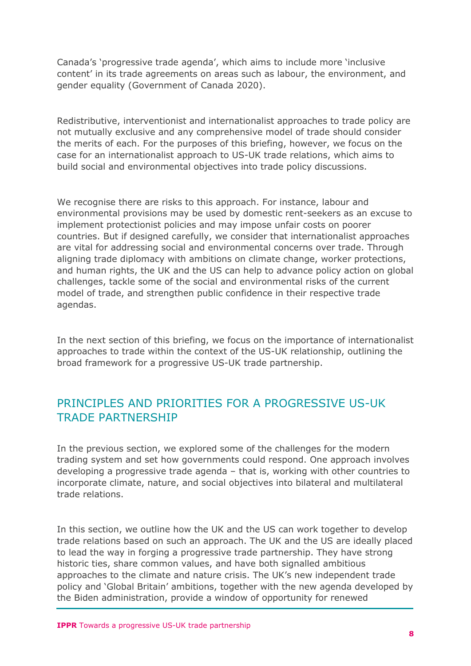Canada's 'progressive trade agenda', which aims to include more 'inclusive content' in its trade agreements on areas such as labour, the environment, and gender equality (Government of Canada 2020).

Redistributive, interventionist and internationalist approaches to trade policy are not mutually exclusive and any comprehensive model of trade should consider the merits of each. For the purposes of this briefing, however, we focus on the case for an internationalist approach to US-UK trade relations, which aims to build social and environmental objectives into trade policy discussions.

We recognise there are risks to this approach. For instance, labour and environmental provisions may be used by domestic rent-seekers as an excuse to implement protectionist policies and may impose unfair costs on poorer countries. But if designed carefully, we consider that internationalist approaches are vital for addressing social and environmental concerns over trade. Through aligning trade diplomacy with ambitions on climate change, worker protections, and human rights, the UK and the US can help to advance policy action on global challenges, tackle some of the social and environmental risks of the current model of trade, and strengthen public confidence in their respective trade agendas.

In the next section of this briefing, we focus on the importance of internationalist approaches to trade within the context of the US-UK relationship, outlining the broad framework for a progressive US-UK trade partnership.

## PRINCIPLES AND PRIORITIES FOR A PROGRESSIVE US-UK TRADE PARTNERSHIP

In the previous section, we explored some of the challenges for the modern trading system and set how governments could respond. One approach involves developing a progressive trade agenda – that is, working with other countries to incorporate climate, nature, and social objectives into bilateral and multilateral trade relations.

In this section, we outline how the UK and the US can work together to develop trade relations based on such an approach. The UK and the US are ideally placed to lead the way in forging a progressive trade partnership. They have strong historic ties, share common values, and have both signalled ambitious approaches to the climate and nature crisis. The UK's new independent trade policy and 'Global Britain' ambitions, together with the new agenda developed by the Biden administration, provide a window of opportunity for renewed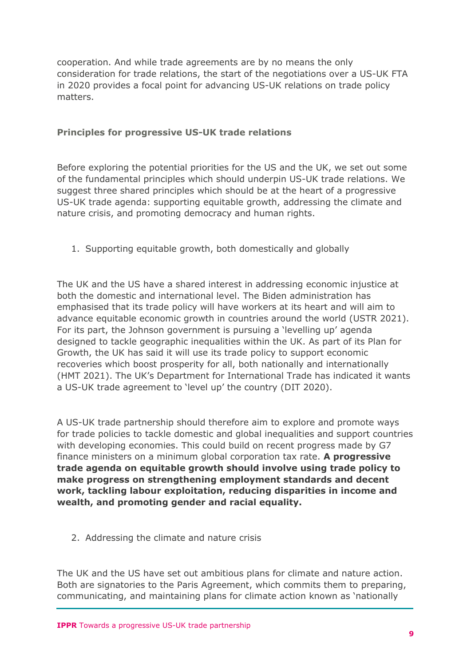cooperation. And while trade agreements are by no means the only consideration for trade relations, the start of the negotiations over a US-UK FTA in 2020 provides a focal point for advancing US-UK relations on trade policy matters.

#### **Principles for progressive US-UK trade relations**

Before exploring the potential priorities for the US and the UK, we set out some of the fundamental principles which should underpin US-UK trade relations. We suggest three shared principles which should be at the heart of a progressive US-UK trade agenda: supporting equitable growth, addressing the climate and nature crisis, and promoting democracy and human rights.

1. Supporting equitable growth, both domestically and globally

The UK and the US have a shared interest in addressing economic injustice at both the domestic and international level. The Biden administration has emphasised that its trade policy will have workers at its heart and will aim to advance equitable economic growth in countries around the world (USTR 2021). For its part, the Johnson government is pursuing a 'levelling up' agenda designed to tackle geographic inequalities within the UK. As part of its Plan for Growth, the UK has said it will use its trade policy to support economic recoveries which boost prosperity for all, both nationally and internationally (HMT 2021). The UK's Department for International Trade has indicated it wants a US-UK trade agreement to 'level up' the country (DIT 2020).

A US-UK trade partnership should therefore aim to explore and promote ways for trade policies to tackle domestic and global inequalities and support countries with developing economies. This could build on recent progress made by G7 finance ministers on a minimum global corporation tax rate. **A progressive trade agenda on equitable growth should involve using trade policy to make progress on strengthening employment standards and decent work, tackling labour exploitation, reducing disparities in income and wealth, and promoting gender and racial equality.**

2. Addressing the climate and nature crisis

The UK and the US have set out ambitious plans for climate and nature action. Both are signatories to the Paris Agreement, which commits them to preparing, communicating, and maintaining plans for climate action known as 'nationally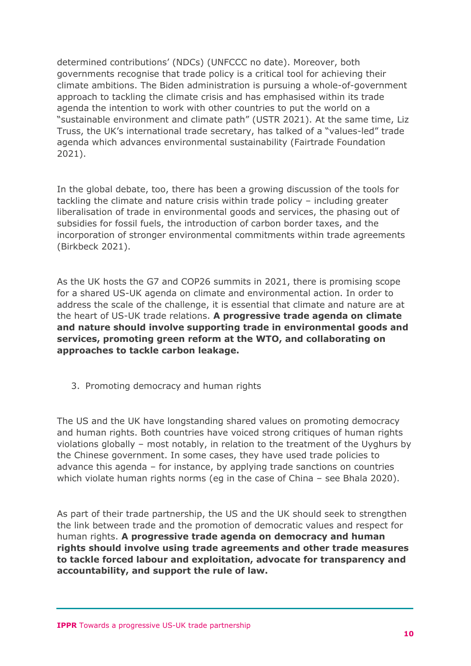determined contributions' (NDCs) (UNFCCC no date). Moreover, both governments recognise that trade policy is a critical tool for achieving their climate ambitions. The Biden administration is pursuing a whole-of-government approach to tackling the climate crisis and has emphasised within its trade agenda the intention to work with other countries to put the world on a "sustainable environment and climate path" (USTR 2021). At the same time, Liz Truss, the UK's international trade secretary, has talked of a "values-led" trade agenda which advances environmental sustainability (Fairtrade Foundation 2021).

In the global debate, too, there has been a growing discussion of the tools for tackling the climate and nature crisis within trade policy – including greater liberalisation of trade in environmental goods and services, the phasing out of subsidies for fossil fuels, the introduction of carbon border taxes, and the incorporation of stronger environmental commitments within trade agreements (Birkbeck 2021).

As the UK hosts the G7 and COP26 summits in 2021, there is promising scope for a shared US-UK agenda on climate and environmental action. In order to address the scale of the challenge, it is essential that climate and nature are at the heart of US-UK trade relations. **A progressive trade agenda on climate and nature should involve supporting trade in environmental goods and services, promoting green reform at the WTO, and collaborating on approaches to tackle carbon leakage.**

3. Promoting democracy and human rights

The US and the UK have longstanding shared values on promoting democracy and human rights. Both countries have voiced strong critiques of human rights violations globally – most notably, in relation to the treatment of the Uyghurs by the Chinese government. In some cases, they have used trade policies to advance this agenda – for instance, by applying trade sanctions on countries which violate human rights norms (eg in the case of China – see Bhala 2020).

As part of their trade partnership, the US and the UK should seek to strengthen the link between trade and the promotion of democratic values and respect for human rights. **A progressive trade agenda on democracy and human rights should involve using trade agreements and other trade measures to tackle forced labour and exploitation, advocate for transparency and accountability, and support the rule of law.**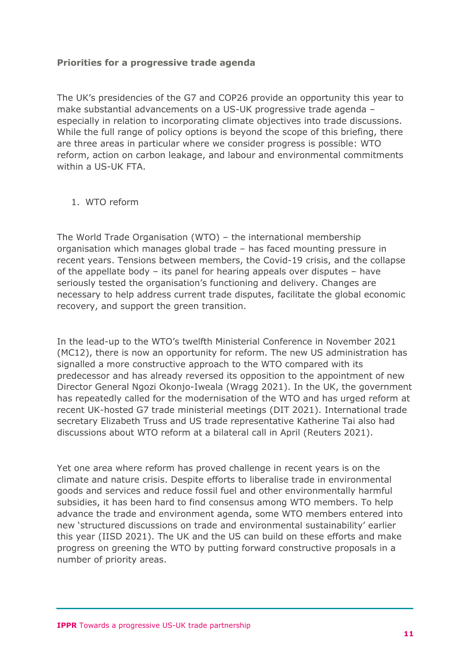#### **Priorities for a progressive trade agenda**

The UK's presidencies of the G7 and COP26 provide an opportunity this year to make substantial advancements on a US-UK progressive trade agenda – especially in relation to incorporating climate objectives into trade discussions. While the full range of policy options is beyond the scope of this briefing, there are three areas in particular where we consider progress is possible: WTO reform, action on carbon leakage, and labour and environmental commitments within a US-UK FTA.

#### 1. WTO reform

The World Trade Organisation (WTO) – the international membership organisation which manages global trade – has faced mounting pressure in recent years. Tensions between members, the Covid-19 crisis, and the collapse of the appellate body – its panel for hearing appeals over disputes – have seriously tested the organisation's functioning and delivery. Changes are necessary to help address current trade disputes, facilitate the global economic recovery, and support the green transition.

In the lead-up to the WTO's twelfth Ministerial Conference in November 2021 (MC12), there is now an opportunity for reform. The new US administration has signalled a more constructive approach to the WTO compared with its predecessor and has already reversed its opposition to the appointment of new Director General Ngozi Okonjo-Iweala (Wragg 2021). In the UK, the government has repeatedly called for the modernisation of the WTO and has urged reform at recent UK-hosted G7 trade ministerial meetings (DIT 2021). International trade secretary Elizabeth Truss and US trade representative Katherine Tai also had discussions about WTO reform at a bilateral call in April (Reuters 2021).

Yet one area where reform has proved challenge in recent years is on the climate and nature crisis. Despite efforts to liberalise trade in environmental goods and services and reduce fossil fuel and other environmentally harmful subsidies, it has been hard to find consensus among WTO members. To help advance the trade and environment agenda, some WTO members entered into new 'structured discussions on trade and environmental sustainability' earlier this year (IISD 2021). The UK and the US can build on these efforts and make progress on greening the WTO by putting forward constructive proposals in a number of priority areas.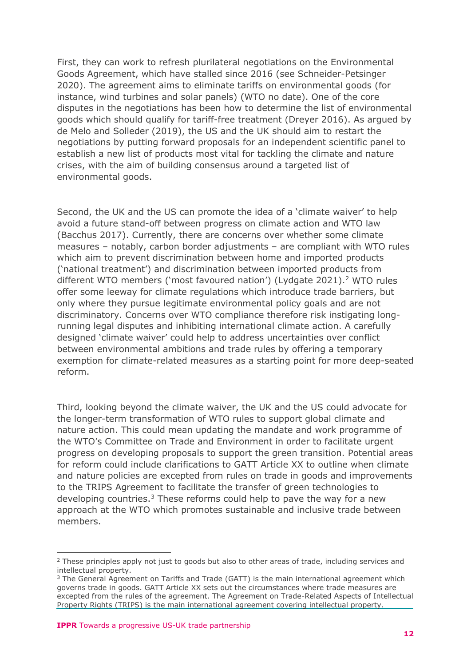First, they can work to refresh plurilateral negotiations on the Environmental Goods Agreement, which have stalled since 2016 (see Schneider-Petsinger 2020). The agreement aims to eliminate tariffs on environmental goods (for instance, wind turbines and solar panels) (WTO no date). One of the core disputes in the negotiations has been how to determine the list of environmental goods which should qualify for tariff-free treatment (Dreyer 2016). As argued by de Melo and Solleder (2019), the US and the UK should aim to restart the negotiations by putting forward proposals for an independent scientific panel to establish a new list of products most vital for tackling the climate and nature crises, with the aim of building consensus around a targeted list of environmental goods.

Second, the UK and the US can promote the idea of a 'climate waiver' to help avoid a future stand-off between progress on climate action and WTO law (Bacchus 2017). Currently, there are concerns over whether some climate measures – notably, carbon border adjustments – are compliant with WTO rules which aim to prevent discrimination between home and imported products ('national treatment') and discrimination between imported products from different WTO members ('most favoured nation') (Lydgate [2](#page-11-0)021).<sup>2</sup> WTO rules offer some leeway for climate regulations which introduce trade barriers, but only where they pursue legitimate environmental policy goals and are not discriminatory. Concerns over WTO compliance therefore risk instigating longrunning legal disputes and inhibiting international climate action. A carefully designed 'climate waiver' could help to address uncertainties over conflict between environmental ambitions and trade rules by offering a temporary exemption for climate-related measures as a starting point for more deep-seated reform.

Third, looking beyond the climate waiver, the UK and the US could advocate for the longer-term transformation of WTO rules to support global climate and nature action. This could mean updating the mandate and work programme of the WTO's Committee on Trade and Environment in order to facilitate urgent progress on developing proposals to support the green transition. Potential areas for reform could include clarifications to GATT Article XX to outline when climate and nature policies are excepted from rules on trade in goods and improvements to the TRIPS Agreement to facilitate the transfer of green technologies to developing countries.<sup>[3](#page-11-1)</sup> These reforms could help to pave the way for a new approach at the WTO which promotes sustainable and inclusive trade between members.

<span id="page-11-0"></span><sup>&</sup>lt;sup>2</sup> These principles apply not just to goods but also to other areas of trade, including services and intellectual property.

<span id="page-11-1"></span><sup>&</sup>lt;sup>3</sup> The General Agreement on Tariffs and Trade (GATT) is the main international agreement which governs trade in goods. GATT Article XX sets out the circumstances where trade measures are excepted from the rules of the agreement. The Agreement on Trade-Related Aspects of Intellectual Property Rights (TRIPS) is the main international agreement covering intellectual property.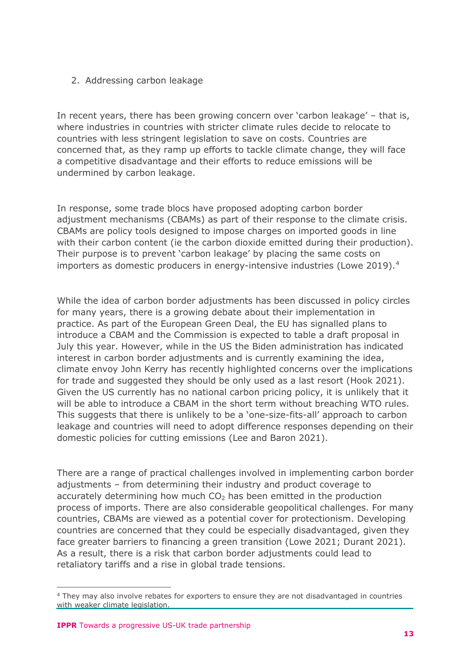#### 2. Addressing carbon leakage

In recent years, there has been growing concern over 'carbon leakage' – that is, where industries in countries with stricter climate rules decide to relocate to countries with less stringent legislation to save on costs. Countries are concerned that, as they ramp up efforts to tackle climate change, they will face a competitive disadvantage and their efforts to reduce emissions will be undermined by carbon leakage.

In response, some trade blocs have proposed adopting carbon border adjustment mechanisms (CBAMs) as part of their response to the climate crisis. CBAMs are policy tools designed to impose charges on imported goods in line with their carbon content (ie the carbon dioxide emitted during their production). Their purpose is to prevent 'carbon leakage' by placing the same costs on importers as domestic producers in energy-intensive industries (Lowe 2019).<sup>4</sup>

While the idea of carbon border adjustments has been discussed in policy circles for many years, there is a growing debate about their implementation in practice. As part of the European Green Deal, the EU has signalled plans to introduce a CBAM and the Commission is expected to table a draft proposal in July this year. However, while in the US the Biden administration has indicated interest in carbon border adjustments and is currently examining the idea, climate envoy John Kerry has recently highlighted concerns over the implications for trade and suggested they should be only used as a last resort (Hook 2021). Given the US currently has no national carbon pricing policy, it is unlikely that it will be able to introduce a CBAM in the short term without breaching WTO rules. This suggests that there is unlikely to be a 'one-size-fits-all' approach to carbon leakage and countries will need to adopt difference responses depending on their domestic policies for cutting emissions (Lee and Baron 2021).

There are a range of practical challenges involved in implementing carbon border adjustments – from determining their industry and product coverage to accurately determining how much  $CO<sub>2</sub>$  has been emitted in the production process of imports. There are also considerable geopolitical challenges. For many countries, CBAMs are viewed as a potential cover for protectionism. Developing countries are concerned that they could be especially disadvantaged, given they face greater barriers to financing a green transition (Lowe 2021; Durant 2021). As a result, there is a risk that carbon border adjustments could lead to retaliatory tariffs and a rise in global trade tensions.

<span id="page-12-0"></span><sup>4</sup> They may also involve rebates for exporters to ensure they are not disadvantaged in countries with weaker climate legislation.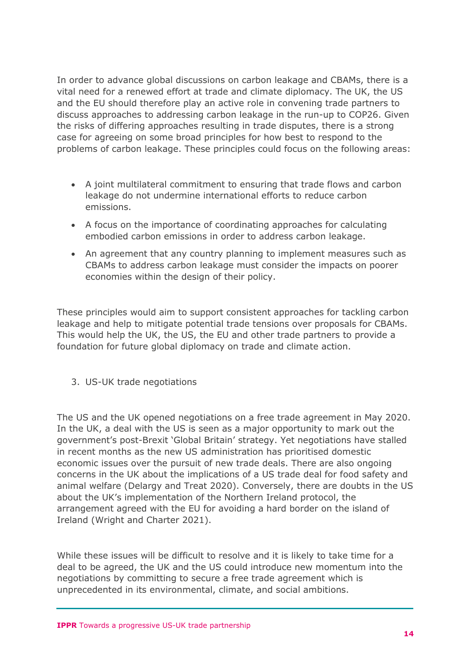In order to advance global discussions on carbon leakage and CBAMs, there is a vital need for a renewed effort at trade and climate diplomacy. The UK, the US and the EU should therefore play an active role in convening trade partners to discuss approaches to addressing carbon leakage in the run-up to COP26. Given the risks of differing approaches resulting in trade disputes, there is a strong case for agreeing on some broad principles for how best to respond to the problems of carbon leakage. These principles could focus on the following areas:

- A joint multilateral commitment to ensuring that trade flows and carbon leakage do not undermine international efforts to reduce carbon emissions.
- A focus on the importance of coordinating approaches for calculating embodied carbon emissions in order to address carbon leakage.
- An agreement that any country planning to implement measures such as CBAMs to address carbon leakage must consider the impacts on poorer economies within the design of their policy.

These principles would aim to support consistent approaches for tackling carbon leakage and help to mitigate potential trade tensions over proposals for CBAMs. This would help the UK, the US, the EU and other trade partners to provide a foundation for future global diplomacy on trade and climate action.

3. US-UK trade negotiations

The US and the UK opened negotiations on a free trade agreement in May 2020. In the UK, a deal with the US is seen as a major opportunity to mark out the government's post-Brexit 'Global Britain' strategy. Yet negotiations have stalled in recent months as the new US administration has prioritised domestic economic issues over the pursuit of new trade deals. There are also ongoing concerns in the UK about the implications of a US trade deal for food safety and animal welfare (Delargy and Treat 2020). Conversely, there are doubts in the US about the UK's implementation of the Northern Ireland protocol, the arrangement agreed with the EU for avoiding a hard border on the island of Ireland (Wright and Charter 2021).

While these issues will be difficult to resolve and it is likely to take time for a deal to be agreed, the UK and the US could introduce new momentum into the negotiations by committing to secure a free trade agreement which is unprecedented in its environmental, climate, and social ambitions.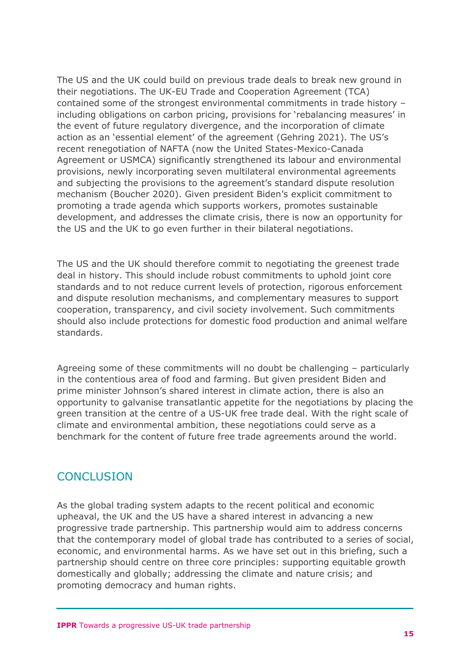The US and the UK could build on previous trade deals to break new ground in their negotiations. The UK-EU Trade and Cooperation Agreement (TCA) contained some of the strongest environmental commitments in trade history – including obligations on carbon pricing, provisions for 'rebalancing measures' in the event of future regulatory divergence, and the incorporation of climate action as an 'essential element' of the agreement (Gehring 2021). The US's recent renegotiation of NAFTA (now the United States-Mexico-Canada Agreement or USMCA) significantly strengthened its labour and environmental provisions, newly incorporating seven multilateral environmental agreements and subjecting the provisions to the agreement's standard dispute resolution mechanism (Boucher 2020). Given president Biden's explicit commitment to promoting a trade agenda which supports workers, promotes sustainable development, and addresses the climate crisis, there is now an opportunity for the US and the UK to go even further in their bilateral negotiations.

The US and the UK should therefore commit to negotiating the greenest trade deal in history. This should include robust commitments to uphold joint core standards and to not reduce current levels of protection, rigorous enforcement and dispute resolution mechanisms, and complementary measures to support cooperation, transparency, and civil society involvement. Such commitments should also include protections for domestic food production and animal welfare standards.

Agreeing some of these commitments will no doubt be challenging – particularly in the contentious area of food and farming. But given president Biden and prime minister Johnson's shared interest in climate action, there is also an opportunity to galvanise transatlantic appetite for the negotiations by placing the green transition at the centre of a US-UK free trade deal. With the right scale of climate and environmental ambition, these negotiations could serve as a benchmark for the content of future free trade agreements around the world.

## **CONCLUSION**

As the global trading system adapts to the recent political and economic upheaval, the UK and the US have a shared interest in advancing a new progressive trade partnership. This partnership would aim to address concerns that the contemporary model of global trade has contributed to a series of social, economic, and environmental harms. As we have set out in this briefing, such a partnership should centre on three core principles: supporting equitable growth domestically and globally; addressing the climate and nature crisis; and promoting democracy and human rights.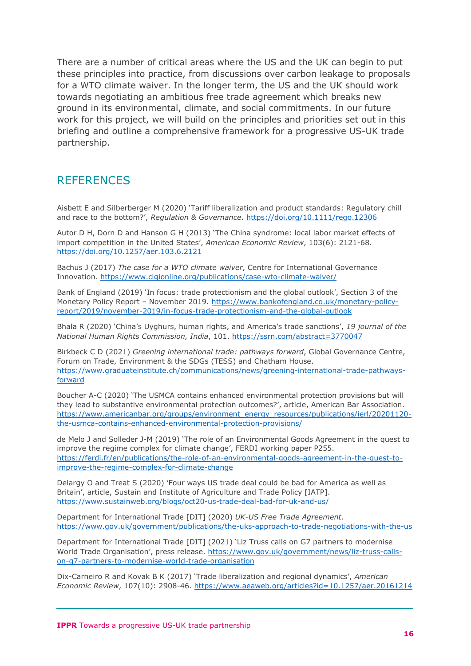There are a number of critical areas where the US and the UK can begin to put these principles into practice, from discussions over carbon leakage to proposals for a WTO climate waiver. In the longer term, the US and the UK should work towards negotiating an ambitious free trade agreement which breaks new ground in its environmental, climate, and social commitments. In our future work for this project, we will build on the principles and priorities set out in this briefing and outline a comprehensive framework for a progressive US-UK trade partnership.

## **REFERENCES**

Aisbett E and Silberberger M (2020) 'Tariff liberalization and product standards: Regulatory chill and race to the bottom?', *Regulation & Governance*.<https://doi.org/10.1111/rego.12306>

Autor D H, Dorn D and Hanson G H (2013) 'The China syndrome: local labor market effects of import competition in the United States', *American Economic Review*, 103(6): 2121-68. <https://doi.org/10.1257/aer.103.6.2121>

Bachus J (2017) *The case for a WTO climate waiver*, Centre for International Governance Innovation. <https://www.cigionline.org/publications/case-wto-climate-waiver/>

Bank of England (2019) 'In focus: trade protectionism and the global outlook', Section 3 of the Monetary Policy Report – November 2019. [https://www.bankofengland.co.uk/monetary-policy](https://www.bankofengland.co.uk/monetary-policy-report/2019/november-2019/in-focus-trade-protectionism-and-the-global-outlook)[report/2019/november-2019/in-focus-trade-protectionism-and-the-global-outlook](https://www.bankofengland.co.uk/monetary-policy-report/2019/november-2019/in-focus-trade-protectionism-and-the-global-outlook)

Bhala R (2020) 'China's Uyghurs, human rights, and America's trade sanctions', *19 journal of the National Human Rights Commission, India*, 101.<https://ssrn.com/abstract=3770047>

Birkbeck C D (2021) *Greening international trade: pathways forward*, Global Governance Centre, Forum on Trade, Environment & the SDGs (TESS) and Chatham House. [https://www.graduateinstitute.ch/communications/news/greening-international-trade-pathways](https://www.graduateinstitute.ch/communications/news/greening-international-trade-pathways-forward)[forward](https://www.graduateinstitute.ch/communications/news/greening-international-trade-pathways-forward)

Boucher A-C (2020) 'The USMCA contains enhanced environmental protection provisions but will they lead to substantive environmental protection outcomes?', article, American Bar Association. [https://www.americanbar.org/groups/environment\\_energy\\_resources/publications/ierl/20201120](https://www.americanbar.org/groups/environment_energy_resources/publications/ierl/20201120-the-usmca-contains-enhanced-environmental-protection-provisions/) [the-usmca-contains-enhanced-environmental-protection-provisions/](https://www.americanbar.org/groups/environment_energy_resources/publications/ierl/20201120-the-usmca-contains-enhanced-environmental-protection-provisions/)

de Melo J and Solleder J-M (2019) 'The role of an Environmental Goods Agreement in the quest to improve the regime complex for climate change', FERDI working paper P255. [https://ferdi.fr/en/publications/the-role-of-an-environmental-goods-agreement-in-the-quest-to](https://ferdi.fr/en/publications/the-role-of-an-environmental-goods-agreement-in-the-quest-to-improve-the-regime-complex-for-climate-change)[improve-the-regime-complex-for-climate-change](https://ferdi.fr/en/publications/the-role-of-an-environmental-goods-agreement-in-the-quest-to-improve-the-regime-complex-for-climate-change)

Delargy O and Treat S (2020) 'Four ways US trade deal could be bad for America as well as Britain', article, Sustain and Institute of Agriculture and Trade Policy [IATP]. <https://www.sustainweb.org/blogs/oct20-us-trade-deal-bad-for-uk-and-us/>

Department for International Trade [DIT] (2020) *UK-US Free Trade Agreement*. <https://www.gov.uk/government/publications/the-uks-approach-to-trade-negotiations-with-the-us>

Department for International Trade [DIT] (2021) 'Liz Truss calls on G7 partners to modernise World Trade Organisation', press release. [https://www.gov.uk/government/news/liz-truss-calls](https://www.gov.uk/government/news/liz-truss-calls-on-g7-partners-to-modernise-world-trade-organisation)[on-g7-partners-to-modernise-world-trade-organisation](https://www.gov.uk/government/news/liz-truss-calls-on-g7-partners-to-modernise-world-trade-organisation)

Dix-Carneiro R and Kovak B K (2017) 'Trade liberalization and regional dynamics', *American Economic Review*, 107(10): 2908-46.<https://www.aeaweb.org/articles?id=10.1257/aer.20161214>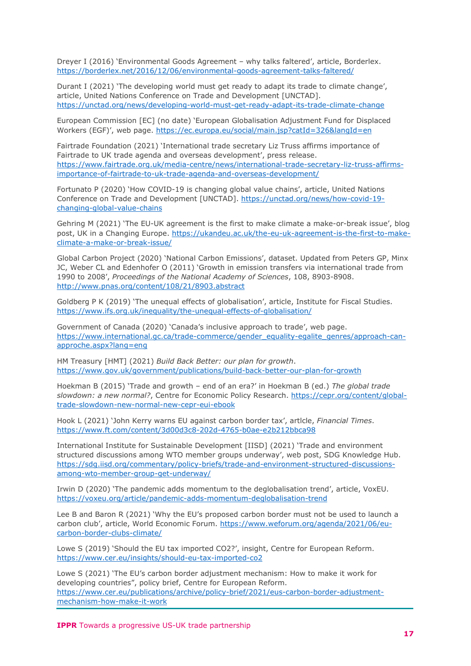Dreyer I (2016) 'Environmental Goods Agreement – why talks faltered', article, Borderlex. <https://borderlex.net/2016/12/06/environmental-goods-agreement-talks-faltered/>

Durant I (2021) 'The developing world must get ready to adapt its trade to climate change', article, United Nations Conference on Trade and Development [UNCTAD]. <https://unctad.org/news/developing-world-must-get-ready-adapt-its-trade-climate-change>

European Commission [EC] (no date) 'European Globalisation Adjustment Fund for Displaced Workers (EGF)', web page.<https://ec.europa.eu/social/main.jsp?catId=326&langId=en>

Fairtrade Foundation (2021) 'International trade secretary Liz Truss affirms importance of Fairtrade to UK trade agenda and overseas development', press release. [https://www.fairtrade.org.uk/media-centre/news/international-trade-secretary-liz-truss-affirms](https://www.fairtrade.org.uk/media-centre/news/international-trade-secretary-liz-truss-affirms-importance-of-fairtrade-to-uk-trade-agenda-and-overseas-development/)[importance-of-fairtrade-to-uk-trade-agenda-and-overseas-development/](https://www.fairtrade.org.uk/media-centre/news/international-trade-secretary-liz-truss-affirms-importance-of-fairtrade-to-uk-trade-agenda-and-overseas-development/)

Fortunato P (2020) 'How COVID-19 is changing global value chains', article, United Nations Conference on Trade and Development [UNCTAD]. [https://unctad.org/news/how-covid-19](https://unctad.org/news/how-covid-19-changing-global-value-chains) [changing-global-value-chains](https://unctad.org/news/how-covid-19-changing-global-value-chains)

Gehring M (2021) 'The EU-UK agreement is the first to make climate a make-or-break issue', blog post, UK in a Changing Europe. [https://ukandeu.ac.uk/the-eu-uk-agreement-is-the-first-to-make](https://ukandeu.ac.uk/the-eu-uk-agreement-is-the-first-to-make-climate-a-make-or-break-issue/)[climate-a-make-or-break-issue/](https://ukandeu.ac.uk/the-eu-uk-agreement-is-the-first-to-make-climate-a-make-or-break-issue/)

Global Carbon Project (2020) 'National Carbon Emissions', dataset. Updated from Peters GP, Minx JC, Weber CL and Edenhofer O (2011) 'Growth in emission transfers via international trade from 1990 to 2008', *Proceedings of the National Academy of Sciences*, 108, 8903-8908. <http://www.pnas.org/content/108/21/8903.abstract>

Goldberg P K (2019) 'The unequal effects of globalisation', article, Institute for Fiscal Studies. <https://www.ifs.org.uk/inequality/the-unequal-effects-of-globalisation/>

Government of Canada (2020) 'Canada's inclusive approach to trade', web page. [https://www.international.gc.ca/trade-commerce/gender\\_equality-egalite\\_genres/approach-can](https://www.international.gc.ca/trade-commerce/gender_equality-egalite_genres/approach-can-approche.aspx?lang=eng)[approche.aspx?lang=eng](https://www.international.gc.ca/trade-commerce/gender_equality-egalite_genres/approach-can-approche.aspx?lang=eng)

HM Treasury [HMT] (2021) *Build Back Better: our plan for growth*. <https://www.gov.uk/government/publications/build-back-better-our-plan-for-growth>

Hoekman B (2015) 'Trade and growth – end of an era?' in Hoekman B (ed.) *The global trade slowdown: a new normal?*, Centre for Economic Policy Research. [https://cepr.org/content/global](https://cepr.org/content/global-trade-slowdown-new-normal-new-cepr-eui-ebook)[trade-slowdown-new-normal-new-cepr-eui-ebook](https://cepr.org/content/global-trade-slowdown-new-normal-new-cepr-eui-ebook)

Hook L (2021) 'John Kerry warns EU against carbon border tax', artlcle, *Financial Times*. <https://www.ft.com/content/3d00d3c8-202d-4765-b0ae-e2b212bbca98>

International Institute for Sustainable Development [IISD] (2021) 'Trade and environment structured discussions among WTO member groups underway', web post, SDG Knowledge Hub. [https://sdg.iisd.org/commentary/policy-briefs/trade-and-environment-structured-discussions](https://sdg.iisd.org/commentary/policy-briefs/trade-and-environment-structured-discussions-among-wto-member-group-get-underway/)[among-wto-member-group-get-underway/](https://sdg.iisd.org/commentary/policy-briefs/trade-and-environment-structured-discussions-among-wto-member-group-get-underway/)

Irwin D (2020) 'The pandemic adds momentum to the deglobalisation trend', article, VoxEU. <https://voxeu.org/article/pandemic-adds-momentum-deglobalisation-trend>

Lee B and Baron R (2021) 'Why the EU's proposed carbon border must not be used to launch a carbon club', article, World Economic Forum. [https://www.weforum.org/agenda/2021/06/eu](https://www.weforum.org/agenda/2021/06/eu-carbon-border-clubs-climate/)[carbon-border-clubs-climate/](https://www.weforum.org/agenda/2021/06/eu-carbon-border-clubs-climate/)

Lowe S (2019) 'Should the EU tax imported CO2?', insight, Centre for European Reform. <https://www.cer.eu/insights/should-eu-tax-imported-co2>

Lowe S (2021) 'The EU's carbon border adjustment mechanism: How to make it work for developing countries", policy brief, Centre for European Reform. [https://www.cer.eu/publications/archive/policy-brief/2021/eus-carbon-border-adjustment](https://www.cer.eu/publications/archive/policy-brief/2021/eus-carbon-border-adjustment-mechanism-how-make-it-work)[mechanism-how-make-it-work](https://www.cer.eu/publications/archive/policy-brief/2021/eus-carbon-border-adjustment-mechanism-how-make-it-work)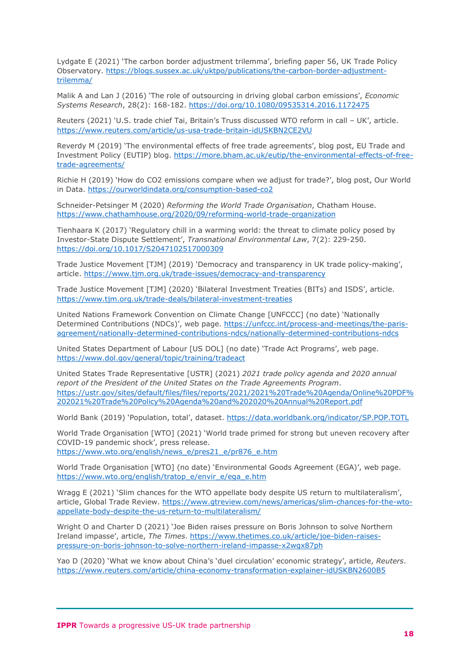Lydgate E (2021) 'The carbon border adjustment trilemma', briefing paper 56, UK Trade Policy Observatory. [https://blogs.sussex.ac.uk/uktpo/publications/the-carbon-border-adjustment](https://blogs.sussex.ac.uk/uktpo/publications/the-carbon-border-adjustment-trilemma/)[trilemma/](https://blogs.sussex.ac.uk/uktpo/publications/the-carbon-border-adjustment-trilemma/)

Malik A and Lan J (2016) 'The role of outsourcing in driving global carbon emissions', *Economic Systems Research*, 28(2): 168-182.<https://doi.org/10.1080/09535314.2016.1172475>

Reuters (2021) 'U.S. trade chief Tai, Britain's Truss discussed WTO reform in call – UK', article. <https://www.reuters.com/article/us-usa-trade-britain-idUSKBN2CE2VU>

Reverdy M (2019) 'The environmental effects of free trade agreements', blog post, EU Trade and Investment Policy (EUTIP) blog. [https://more.bham.ac.uk/eutip/the-environmental-effects-of-free](https://more.bham.ac.uk/eutip/the-environmental-effects-of-free-trade-agreements/)[trade-agreements/](https://more.bham.ac.uk/eutip/the-environmental-effects-of-free-trade-agreements/)

Richie H (2019) 'How do CO2 emissions compare when we adjust for trade?', blog post, Our World in Data.<https://ourworldindata.org/consumption-based-co2>

Schneider-Petsinger M (2020) *Reforming the World Trade Organisation*, Chatham House. <https://www.chathamhouse.org/2020/09/reforming-world-trade-organization>

Tienhaara K (2017) 'Regulatory chill in a warming world: the threat to climate policy posed by Investor-State Dispute Settlement', *Transnational Environmental Law*, 7(2): 229-250. <https://doi.org/10.1017/S2047102517000309>

Trade Justice Movement [TJM] (2019) 'Democracy and transparency in UK trade policy-making', article.<https://www.tjm.org.uk/trade-issues/democracy-and-transparency>

Trade Justice Movement [TJM] (2020) 'Bilateral Investment Treaties (BITs) and ISDS', article. <https://www.tjm.org.uk/trade-deals/bilateral-investment-treaties>

United Nations Framework Convention on Climate Change [UNFCCC] (no date) 'Nationally Determined Contributions (NDCs)', web page. [https://unfccc.int/process-and-meetings/the-paris](https://unfccc.int/process-and-meetings/the-paris-agreement/nationally-determined-contributions-ndcs/nationally-determined-contributions-ndcs)[agreement/nationally-determined-contributions-ndcs/nationally-determined-contributions-ndcs](https://unfccc.int/process-and-meetings/the-paris-agreement/nationally-determined-contributions-ndcs/nationally-determined-contributions-ndcs)

United States Department of Labour [US DOL] (no date) 'Trade Act Programs', web page. <https://www.dol.gov/general/topic/training/tradeact>

United States Trade Representative [USTR] (2021) *2021 trade policy agenda and 2020 annual report of the President of the United States on the Trade Agreements Program*. [https://ustr.gov/sites/default/files/files/reports/2021/2021%20Trade%20Agenda/Online%20PDF%](https://ustr.gov/sites/default/files/files/reports/2021/2021%20Trade%20Agenda/Online%20PDF%202021%20Trade%20Policy%20Agenda%20and%202020%20Annual%20Report.pdf) [202021%20Trade%20Policy%20Agenda%20and%202020%20Annual%20Report.pdf](https://ustr.gov/sites/default/files/files/reports/2021/2021%20Trade%20Agenda/Online%20PDF%202021%20Trade%20Policy%20Agenda%20and%202020%20Annual%20Report.pdf)

World Bank (2019) 'Population, total', dataset.<https://data.worldbank.org/indicator/SP.POP.TOTL>

World Trade Organisation [WTO] (2021) 'World trade primed for strong but uneven recovery after COVID-19 pandemic shock', press release. [https://www.wto.org/english/news\\_e/pres21\\_e/pr876\\_e.htm](https://www.wto.org/english/news_e/pres21_e/pr876_e.htm)

World Trade Organisation [WTO] (no date) 'Environmental Goods Agreement (EGA)', web page. [https://www.wto.org/english/tratop\\_e/envir\\_e/ega\\_e.htm](https://www.wto.org/english/tratop_e/envir_e/ega_e.htm)

Wragg E (2021) 'Slim chances for the WTO appellate body despite US return to multilateralism', article, Global Trade Review. [https://www.gtreview.com/news/americas/slim-chances-for-the-wto](https://www.gtreview.com/news/americas/slim-chances-for-the-wto-appellate-body-despite-the-us-return-to-multilateralism/)[appellate-body-despite-the-us-return-to-multilateralism/](https://www.gtreview.com/news/americas/slim-chances-for-the-wto-appellate-body-despite-the-us-return-to-multilateralism/)

Wright O and Charter D (2021) 'Joe Biden raises pressure on Boris Johnson to solve Northern Ireland impasse', article, *The Times*. [https://www.thetimes.co.uk/article/joe-biden-raises](https://www.thetimes.co.uk/article/joe-biden-raises-pressure-on-boris-johnson-to-solve-northern-ireland-impasse-x2wgx87ph)[pressure-on-boris-johnson-to-solve-northern-ireland-impasse-x2wgx87ph](https://www.thetimes.co.uk/article/joe-biden-raises-pressure-on-boris-johnson-to-solve-northern-ireland-impasse-x2wgx87ph)

Yao D (2020) 'What we know about China's 'duel circulation' economic strategy', article, *Reuters*. <https://www.reuters.com/article/china-economy-transformation-explainer-idUSKBN2600B5>